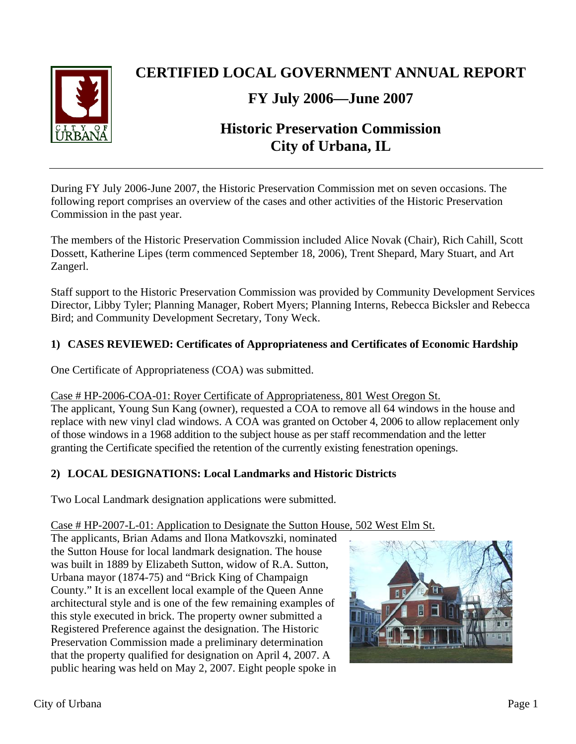

# **CERTIFIED LOCAL GOVERNMENT ANNUAL REPORT**

# **FY July 2006—June 2007**

# **Historic Preservation Commission City of Urbana, IL**

During FY July 2006-June 2007, the Historic Preservation Commission met on seven occasions. The following report comprises an overview of the cases and other activities of the Historic Preservation Commission in the past year.

The members of the Historic Preservation Commission included Alice Novak (Chair), Rich Cahill, Scott Dossett, Katherine Lipes (term commenced September 18, 2006), Trent Shepard, Mary Stuart, and Art Zangerl.

Staff support to the Historic Preservation Commission was provided by Community Development Services Director, Libby Tyler; Planning Manager, Robert Myers; Planning Interns, Rebecca Bicksler and Rebecca Bird; and Community Development Secretary, Tony Weck.

# **1) CASES REVIEWED: Certificates of Appropriateness and Certificates of Economic Hardship**

One Certificate of Appropriateness (COA) was submitted.

## Case # HP-2006-COA-01: Royer Certificate of Appropriateness, 801 West Oregon St.

The applicant, Young Sun Kang (owner), requested a COA to remove all 64 windows in the house and replace with new vinyl clad windows. A COA was granted on October 4, 2006 to allow replacement only of those windows in a 1968 addition to the subject house as per staff recommendation and the letter granting the Certificate specified the retention of the currently existing fenestration openings.

# **2) LOCAL DESIGNATIONS: Local Landmarks and Historic Districts**

Two Local Landmark designation applications were submitted.

## Case # HP-2007-L-01: Application to Designate the Sutton House, 502 West Elm St.

The applicants, Brian Adams and Ilona Matkovszki, nominated the Sutton House for local landmark designation. The house was built in 1889 by Elizabeth Sutton, widow of R.A. Sutton, Urbana mayor (1874-75) and "Brick King of Champaign County." It is an excellent local example of the Queen Anne architectural style and is one of the few remaining examples of this style executed in brick. The property owner submitted a Registered Preference against the designation. The Historic Preservation Commission made a preliminary determination that the property qualified for designation on April 4, 2007. A public hearing was held on May 2, 2007. Eight people spoke in

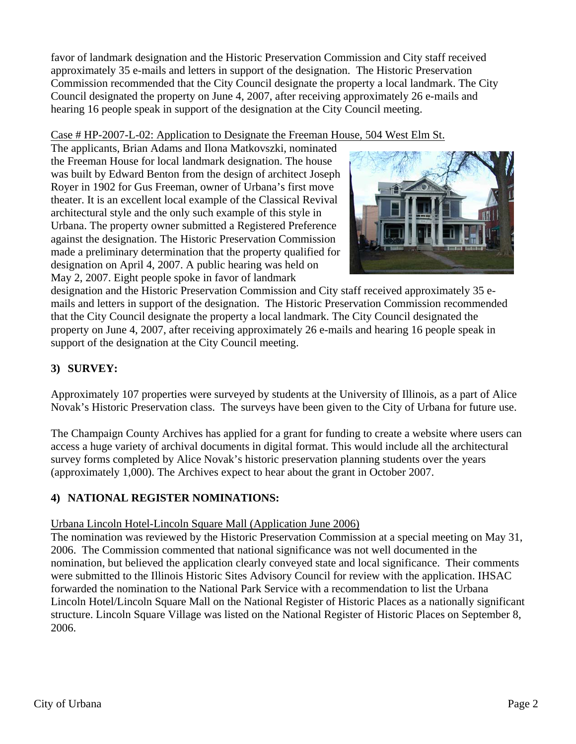favor of landmark designation and the Historic Preservation Commission and City staff received approximately 35 e-mails and letters in support of the designation. The Historic Preservation Commission recommended that the City Council designate the property a local landmark. The City Council designated the property on June 4, 2007, after receiving approximately 26 e-mails and hearing 16 people speak in support of the designation at the City Council meeting.

## Case # HP-2007-L-02: Application to Designate the Freeman House, 504 West Elm St.

The applicants, Brian Adams and Ilona Matkovszki, nominated the Freeman House for local landmark designation. The house was built by Edward Benton from the design of architect Joseph Royer in 1902 for Gus Freeman, owner of Urbana's first move theater. It is an excellent local example of the Classical Revival architectural style and the only such example of this style in Urbana. The property owner submitted a Registered Preference against the designation. The Historic Preservation Commission made a preliminary determination that the property qualified for designation on April 4, 2007. A public hearing was held on May 2, 2007. Eight people spoke in favor of landmark



designation and the Historic Preservation Commission and City staff received approximately 35 emails and letters in support of the designation. The Historic Preservation Commission recommended that the City Council designate the property a local landmark. The City Council designated the property on June 4, 2007, after receiving approximately 26 e-mails and hearing 16 people speak in support of the designation at the City Council meeting.

# **3) SURVEY:**

Approximately 107 properties were surveyed by students at the University of Illinois, as a part of Alice Novak's Historic Preservation class. The surveys have been given to the City of Urbana for future use.

The Champaign County Archives has applied for a grant for funding to create a website where users can access a huge variety of archival documents in digital format. This would include all the architectural survey forms completed by Alice Novak's historic preservation planning students over the years (approximately 1,000). The Archives expect to hear about the grant in October 2007.

# **4) NATIONAL REGISTER NOMINATIONS:**

# Urbana Lincoln Hotel-Lincoln Square Mall (Application June 2006)

The nomination was reviewed by the Historic Preservation Commission at a special meeting on May 31, 2006. The Commission commented that national significance was not well documented in the nomination, but believed the application clearly conveyed state and local significance. Their comments were submitted to the Illinois Historic Sites Advisory Council for review with the application. IHSAC forwarded the nomination to the National Park Service with a recommendation to list the Urbana Lincoln Hotel/Lincoln Square Mall on the National Register of Historic Places as a nationally significant structure. Lincoln Square Village was listed on the National Register of Historic Places on September 8, 2006.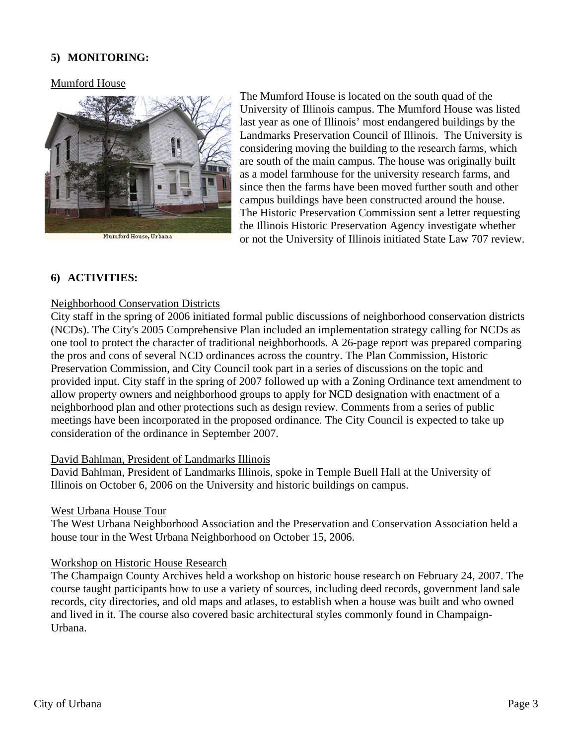## **5) MONITORING:**

### Mumford House



Mumford House, Urbana

The Mumford House is located on the south quad of the University of Illinois campus. The Mumford House was listed last year as one of Illinois' most endangered buildings by the Landmarks Preservation Council of Illinois. The University is considering moving the building to the research farms, which are south of the main campus. The house was originally built as a model farmhouse for the university research farms, and since then the farms have been moved further south and other campus buildings have been constructed around the house. The Historic Preservation Commission sent a letter requesting the Illinois Historic Preservation Agency investigate whether or not the University of Illinois initiated State Law 707 review.

## **6) ACTIVITIES:**

#### Neighborhood Conservation Districts

City staff in the spring of 2006 initiated formal public discussions of neighborhood conservation districts (NCDs). The City's 2005 Comprehensive Plan included an implementation strategy calling for NCDs as one tool to protect the character of traditional neighborhoods. A 26-page report was prepared comparing the pros and cons of several NCD ordinances across the country. The Plan Commission, Historic Preservation Commission, and City Council took part in a series of discussions on the topic and provided input. City staff in the spring of 2007 followed up with a Zoning Ordinance text amendment to allow property owners and neighborhood groups to apply for NCD designation with enactment of a neighborhood plan and other protections such as design review. Comments from a series of public meetings have been incorporated in the proposed ordinance. The City Council is expected to take up consideration of the ordinance in September 2007.

#### David Bahlman, President of Landmarks Illinois

David Bahlman, President of Landmarks Illinois, spoke in Temple Buell Hall at the University of Illinois on October 6, 2006 on the University and historic buildings on campus.

#### West Urbana House Tour

The West Urbana Neighborhood Association and the Preservation and Conservation Association held a house tour in the West Urbana Neighborhood on October 15, 2006.

#### Workshop on Historic House Research

The Champaign County Archives held a workshop on historic house research on February 24, 2007. The course taught participants how to use a variety of sources, including deed records, government land sale records, city directories, and old maps and atlases, to establish when a house was built and who owned and lived in it. The course also covered basic architectural styles commonly found in Champaign-Urbana.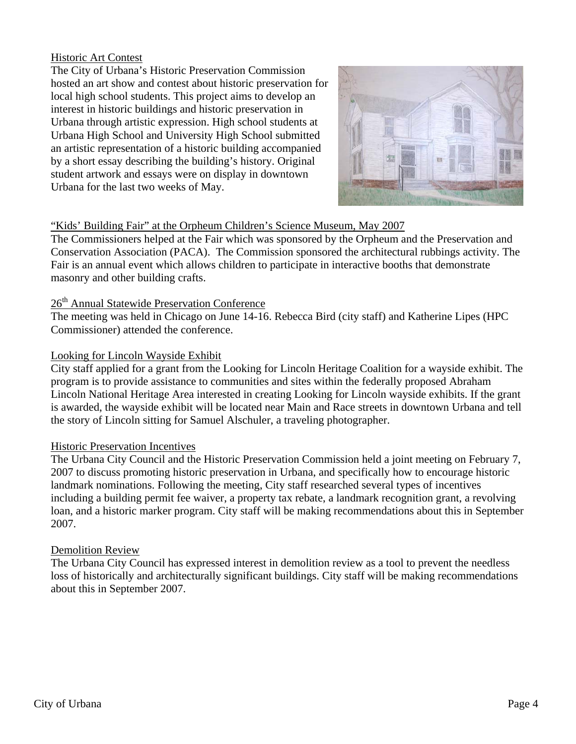### Historic Art Contest

The City of Urbana's Historic Preservation Commission hosted an art show and contest about historic preservation for local high school students. This project aims to develop an interest in historic buildings and historic preservation in Urbana through artistic expression. High school students at Urbana High School and University High School submitted an artistic representation of a historic building accompanied by a short essay describing the building's history. Original student artwork and essays were on display in downtown Urbana for the last two weeks of May.



## "Kids' Building Fair" at the Orpheum Children's Science Museum, May 2007

The Commissioners helped at the Fair which was sponsored by the Orpheum and the Preservation and Conservation Association (PACA). The Commission sponsored the architectural rubbings activity. The Fair is an annual event which allows children to participate in interactive booths that demonstrate masonry and other building crafts.

# 26<sup>th</sup> Annual Statewide Preservation Conference

The meeting was held in Chicago on June 14-16. Rebecca Bird (city staff) and Katherine Lipes (HPC Commissioner) attended the conference.

### Looking for Lincoln Wayside Exhibit

City staff applied for a grant from the Looking for Lincoln Heritage Coalition for a wayside exhibit. The program is to provide assistance to communities and sites within the federally proposed Abraham Lincoln National Heritage Area interested in creating Looking for Lincoln wayside exhibits. If the grant is awarded, the wayside exhibit will be located near Main and Race streets in downtown Urbana and tell the story of Lincoln sitting for Samuel Alschuler, a traveling photographer.

## Historic Preservation Incentives

The Urbana City Council and the Historic Preservation Commission held a joint meeting on February 7, 2007 to discuss promoting historic preservation in Urbana, and specifically how to encourage historic landmark nominations. Following the meeting, City staff researched several types of incentives including a building permit fee waiver, a property tax rebate, a landmark recognition grant, a revolving loan, and a historic marker program. City staff will be making recommendations about this in September 2007.

## Demolition Review

The Urbana City Council has expressed interest in demolition review as a tool to prevent the needless loss of historically and architecturally significant buildings. City staff will be making recommendations about this in September 2007.